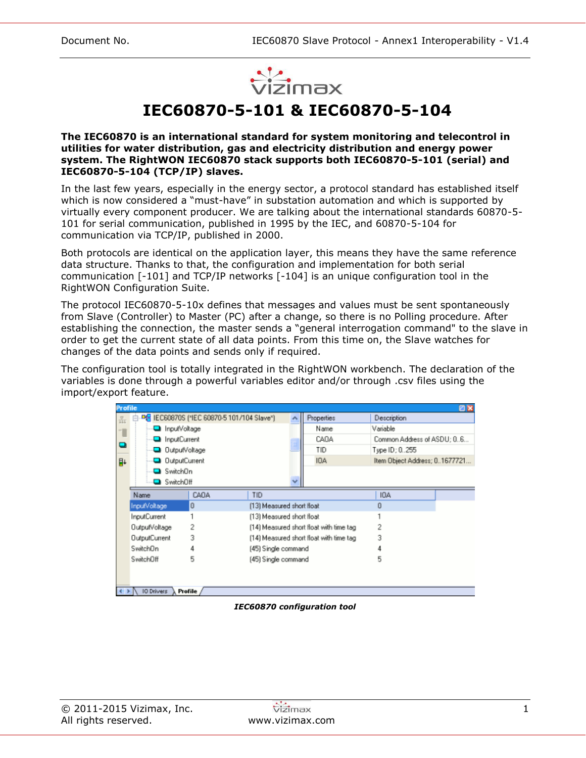

**IEC60870-5-101 & IEC60870-5-104**

#### **The IEC60870 is an international standard for system monitoring and telecontrol in utilities for water distribution, gas and electricity distribution and energy power system. The RightWON IEC60870 stack supports both IEC60870-5-101 (serial) and IEC60870-5-104 (TCP/IP) slaves.**

In the last few years, especially in the energy sector, a protocol standard has established itself which is now considered a "must-have" in substation automation and which is supported by virtually every component producer. We are talking about the international standards 60870-5- 101 for serial communication, published in 1995 by the IEC, and 60870-5-104 for communication via TCP/IP, published in 2000.

Both protocols are identical on the application layer, this means they have the same reference data structure. Thanks to that, the configuration and implementation for both serial communication [-101] and TCP/IP networks [-104] is an unique configuration tool in the RightWON Configuration Suite.

The protocol IEC60870-5-10x defines that messages and values must be sent spontaneously from Slave (Controller) to Master (PC) after a change, so there is no Polling procedure. After establishing the connection, the master sends a "general interrogation command" to the slave in order to get the current state of all data points. From this time on, the Slave watches for changes of the data points and sends only if required.

The configuration tool is totally integrated in the RightWON workbench. The declaration of the variables is done through a powerful variables editor and/or through .csv files using the import/export feature.

|                            | <b>ZX</b><br><b>Profile</b>          |                                            |                           |      |                                         |                               |  |
|----------------------------|--------------------------------------|--------------------------------------------|---------------------------|------|-----------------------------------------|-------------------------------|--|
| $\frac{\overline{N}}{444}$ |                                      | PG IEC60870S (*IEC 60870-5 101/104 Slave*) |                           |      | Properties                              | Description                   |  |
| T                          | nputVoltage                          |                                            |                           |      | Name                                    | Variable                      |  |
|                            | <b>D</b> InputCurrent                |                                            |                           | CADA |                                         | Common Address of ASDU; 06    |  |
| $\blacksquare$             | OutputVoltage                        |                                            |                           | TID  | Type ID: 0255                           |                               |  |
| B+                         | OutputCurrent                        |                                            |                           |      | IOA                                     | Item Object Address; 01677721 |  |
|                            | Switch <sub>On</sub>                 |                                            |                           |      |                                         |                               |  |
|                            | SwitchOff                            |                                            |                           |      |                                         |                               |  |
|                            | Name                                 | CADA                                       | <b>TID</b>                |      |                                         | IOA                           |  |
|                            | InputVoltage                         | 0                                          | [13] Measured short float |      |                                         | о                             |  |
|                            | <b>InputCurrent</b>                  |                                            | [13] Measured short float |      |                                         |                               |  |
|                            | OutputVoltage                        | 2                                          |                           |      | [14] Measured short float with time tag | 2                             |  |
|                            | <b>OutputCurrent</b>                 | 3                                          |                           |      | [14] Measured short float with time tag | 3                             |  |
|                            | SwitchDn<br>4                        |                                            | (45) Single command       |      |                                         |                               |  |
|                            | SwitchOff                            | 5                                          | (45) Single command       |      |                                         | 5                             |  |
|                            |                                      |                                            |                           |      |                                         |                               |  |
|                            |                                      |                                            |                           |      |                                         |                               |  |
|                            | $-1$<br><b>IO Drivers</b><br>Profile |                                            |                           |      |                                         |                               |  |

*IEC60870 configuration tool*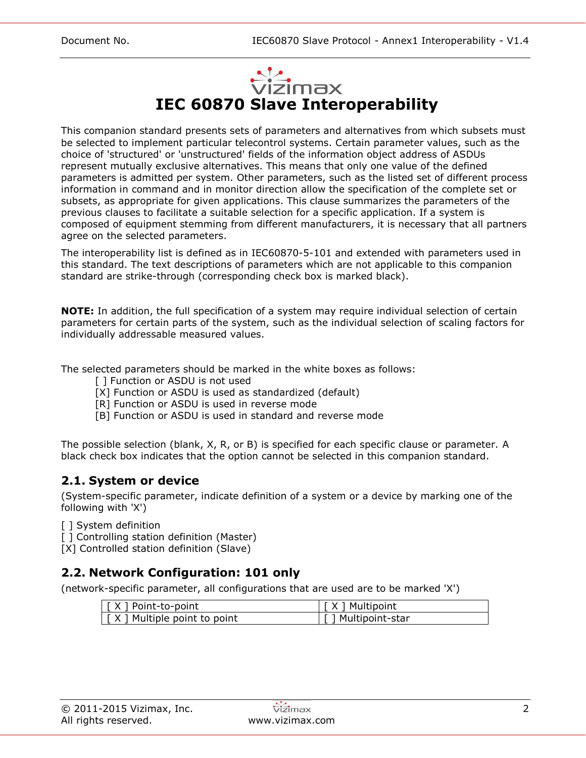

This companion standard presents sets of parameters and alternatives from which subsets must be selected to implement particular telecontrol systems. Certain parameter values, such as the choice of 'structured' or 'unstructured' fields of the information object address of ASDUs represent mutually exclusive alternatives. This means that only one value of the defined parameters is admitted per system. Other parameters, such as the listed set of different process information in command and in monitor direction allow the specification of the complete set or subsets, as appropriate for given applications. This clause summarizes the parameters of the previous clauses to facilitate a suitable selection for a specific application. If a system is composed of equipment stemming from different manufacturers, it is necessary that all partners agree on the selected parameters.

The interoperability list is defined as in IEC60870-5-101 and extended with parameters used in this standard. The text descriptions of parameters which are not applicable to this companion standard are strike-through (corresponding check box is marked black).

**NOTE:** In addition, the full specification of a system may require individual selection of certain parameters for certain parts of the system, such as the individual selection of scaling factors for individually addressable measured values.

The selected parameters should be marked in the white boxes as follows:

- [ ] Function or ASDU is not used
- [X] Function or ASDU is used as standardized (default)
- [R] Function or ASDU is used in reverse mode
- [B] Function or ASDU is used in standard and reverse mode

The possible selection (blank, X, R, or B) is specified for each specific clause or parameter. A black check box indicates that the option cannot be selected in this companion standard.

## **2.1. System or device**

(System-specific parameter, indicate definition of a system or a device by marking one of the following with 'X')

[ ] System definition

[ ] Controlling station definition (Master)

[X] Controlled station definition (Slave)

## **2.2. Network Configuration: 101 only**

(network-specific parameter, all configurations that are used are to be marked 'X')

| $\vert \vert$ $\vert$ $\times$ $\vert$ Point-to-point | [X ] Multipoint     |
|-------------------------------------------------------|---------------------|
| $\vert \int X \vert$ Multiple point to point          | [ ] Multipoint-star |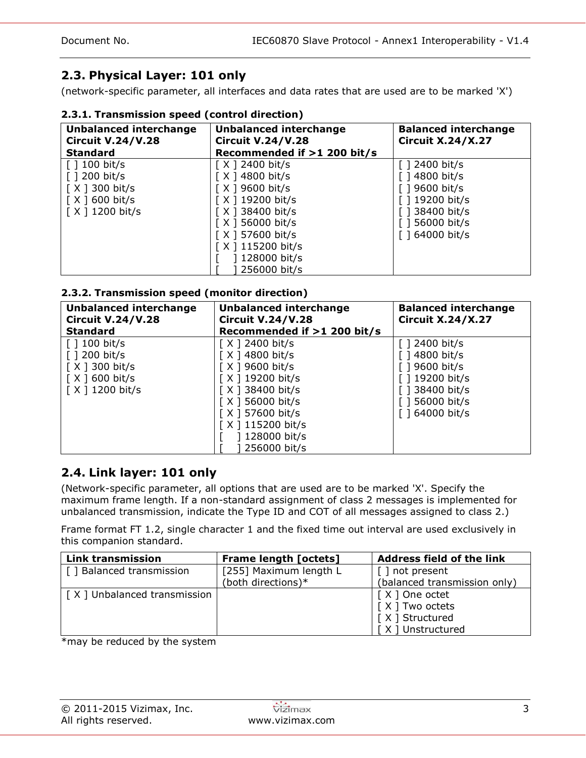# **2.3. Physical Layer: 101 only**

(network-specific parameter, all interfaces and data rates that are used are to be marked 'X')

## **2.3.1. Transmission speed (control direction)**

| <b>Unbalanced interchange</b><br><b>Circuit V.24/V.28</b>                                                                        | <b>Unbalanced interchange</b><br><b>Circuit V.24/V.28</b>                                                                                                                      | <b>Balanced interchange</b><br><b>Circuit X.24/X.27</b>                                                                                                               |  |
|----------------------------------------------------------------------------------------------------------------------------------|--------------------------------------------------------------------------------------------------------------------------------------------------------------------------------|-----------------------------------------------------------------------------------------------------------------------------------------------------------------------|--|
| <b>Standard</b>                                                                                                                  | Recommended if >1 200 bit/s                                                                                                                                                    |                                                                                                                                                                       |  |
| $\lceil$ 100 bit/s<br>$\lceil$ 1 200 bit/s<br>$\lceil$ X ] 300 bit/s<br>$\lceil$ X $\rceil$ 600 bit/s<br>$\lceil$ X ] 1200 bit/s | [X ] 2400 bit/s<br>[ X ] 4800 bit/s<br>[ X ] 9600 bit/s<br>[X ] 19200 bit/s<br>[ X ] 38400 bit/s<br>$[X]$ 56000 bit/s<br>[ X ] 57600 bit/s<br>X   115200 bit/s<br>128000 bit/s | $\lceil$ 1 2400 bit/s<br>$\lceil$ 14800 bit/s<br>$\lceil$ 19600 bit/s<br>[ ] 19200 bit/s<br>$\lceil$ 1 38400 bit/s<br>$\lceil$ 1 56000 bit/s<br>$\lceil$ 164000 bit/s |  |
|                                                                                                                                  | 256000 bit/s                                                                                                                                                                   |                                                                                                                                                                       |  |

## **2.3.2. Transmission speed (monitor direction)**

| <b>Unbalanced interchange</b><br><b>Circuit V.24/V.28</b> | <b>Unbalanced interchange</b><br><b>Circuit V.24/V.28</b> | <b>Balanced interchange</b><br><b>Circuit X.24/X.27</b> |
|-----------------------------------------------------------|-----------------------------------------------------------|---------------------------------------------------------|
| <b>Standard</b>                                           | Recommended if >1 200 bit/s                               |                                                         |
| $\lceil$ 100 bit/s                                        | $\lceil$ X ] 2400 bit/s                                   | $\lceil$ 1 2400 bit/s                                   |
| $\lceil$ 1 200 bit/s                                      | $\lceil$ X ] 4800 bit/s                                   | $\lceil$ 14800 bit/s                                    |
| $\lceil$ X ] 300 bit/s                                    | $\lceil$ X ] 9600 bit/s                                   | [ ] 9600 bit/s                                          |
| $\lceil$ X $\rceil$ 600 bit/s                             | [X ] 19200 bit/s                                          | [ ] 19200 bit/s                                         |
| $\lceil$ X ] 1200 bit/s                                   | $[X]$ 38400 bit/s                                         | [ ] 38400 bit/s                                         |
|                                                           | $\lceil$ X ] 56000 bit/s                                  | $\lceil$ 1 56000 bit/s                                  |
|                                                           | $[X]$ 57600 bit/s                                         | $\lceil$ 164000 bit/s                                   |
|                                                           | [X ] 115200 bit/s                                         |                                                         |
|                                                           | 128000 bit/s                                              |                                                         |
|                                                           | 256000 bit/s                                              |                                                         |

## **2.4. Link layer: 101 only**

(Network-specific parameter, all options that are used are to be marked 'X'. Specify the maximum frame length. If a non-standard assignment of class 2 messages is implemented for unbalanced transmission, indicate the Type ID and COT of all messages assigned to class 2.)

Frame format FT 1.2, single character 1 and the fixed time out interval are used exclusively in this companion standard.

| <b>Link transmission</b>              | <b>Frame length [octets]</b> | <b>Address field of the link</b> |
|---------------------------------------|------------------------------|----------------------------------|
| [] Balanced transmission              | [255] Maximum length L       | [ ] not present                  |
|                                       | (both directions)*           | (balanced transmission only)     |
| $\vert$ [ X ] Unbalanced transmission |                              | [X ] One octet                   |
|                                       |                              | [X ] Two octets                  |
|                                       |                              | [X ] Structured                  |
|                                       |                              | X ] Unstructured                 |

\*may be reduced by the system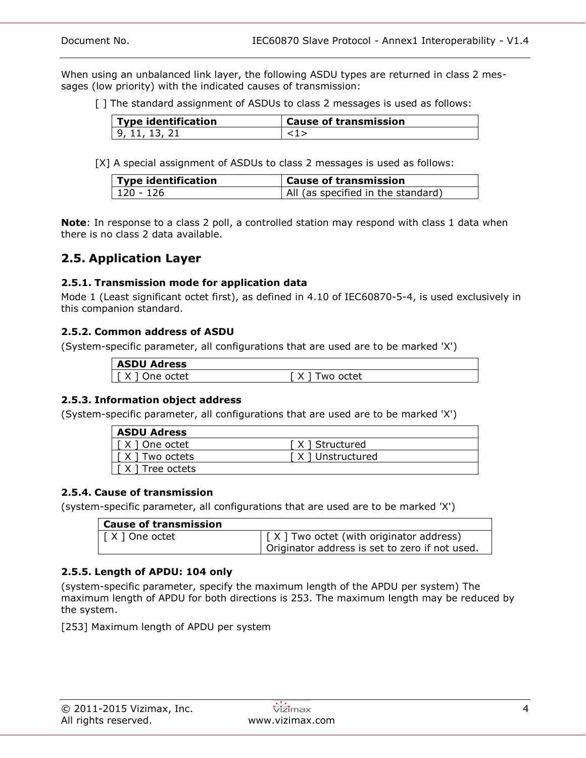When using an unbalanced link layer, the following ASDU types are returned in class 2 messages (low priority) with the indicated causes of transmission:

[] The standard assignment of ASDUs to class 2 messages is used as follows:

| <b>Type identification</b> | <b>Cause of transmission</b> |
|----------------------------|------------------------------|
| 9. 11. 13. 21              |                              |

[X] A special assignment of ASDUs to class 2 messages is used as follows:

| Type identification | <b>Cause of transmission</b>       |
|---------------------|------------------------------------|
| 120 - 126           | All (as specified in the standard) |

**Note**: In response to a class 2 poll, a controlled station may respond with class 1 data when there is no class 2 data available.

## **2.5. Application Layer**

## **2.5.1. Transmission mode for application data**

Mode 1 (Least significant octet first), as defined in 4.10 of IEC60870-5-4, is used exclusively in this companion standard.

## **2.5.2. Common address of ASDU**

(System-specific parameter, all configurations that are used are to be marked 'X')

| <b>ASDU Adress</b>        |           |
|---------------------------|-----------|
| Jne octet<br>$\checkmark$ | 'wo octet |

## **2.5.3. Information object address**

(System-specific parameter, all configurations that are used are to be marked 'X')

| <b>ASDU Adress</b>                                          |                   |
|-------------------------------------------------------------|-------------------|
| I I X 1 One octet                                           | [X ] Structured   |
| $\vert$ $\vert$ $\vert$ $\times$ $\vert$ $\vert$ Two octets | [X ] Unstructured |
| $\lceil$ $\lceil$ $\times$ $\rceil$ Tree octets             |                   |

### **2.5.4. Cause of transmission**

(system-specific parameter, all configurations that are used are to be marked 'X')

| Cause of transmission |                                                   |
|-----------------------|---------------------------------------------------|
| [ X ] One octet       | $\vert$ [ X ] Two octet (with originator address) |
|                       | Originator address is set to zero if not used.    |

## **2.5.5. Length of APDU: 104 only**

(system-specific parameter, specify the maximum length of the APDU per system) The maximum length of APDU for both directions is 253. The maximum length may be reduced by the system.

[253] Maximum length of APDU per system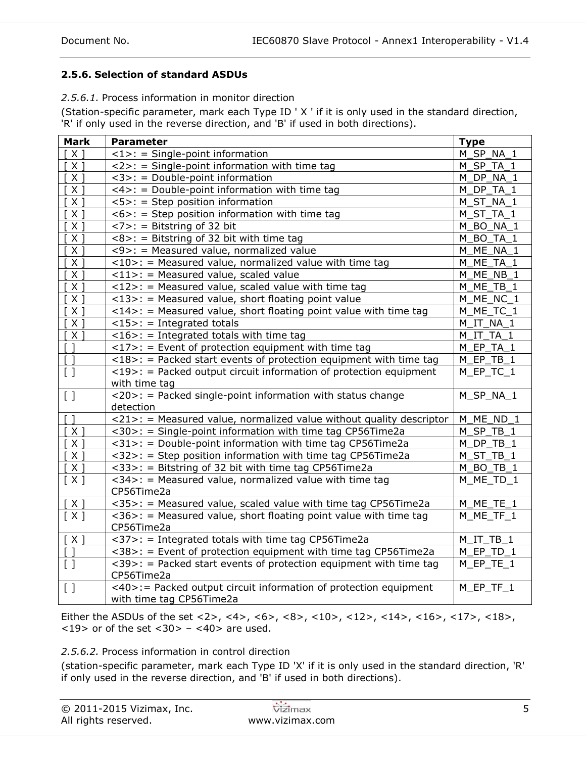## **2.5.6. Selection of standard ASDUs**

*2.5.6.1.* Process information in monitor direction

(Station-specific parameter, mark each Type ID ' X ' if it is only used in the standard direction, 'R' if only used in the reverse direction, and 'B' if used in both directions).

| <b>Mark</b>                       | <b>Parameter</b>                                                                   | <b>Type</b>              |
|-----------------------------------|------------------------------------------------------------------------------------|--------------------------|
| $X \rceil$                        | $\langle 1 \rangle$ : = Single-point information                                   | M SP NA 1                |
| $X \rceil$                        | $\langle 2 \rangle$ : = Single-point information with time tag                     | M SP TA 1                |
| $X$ ]                             | <3>: = Double-point information                                                    | M_DP_NA_1                |
| $X$ ]                             | <4>: = Double-point information with time tag                                      | DP TA 1<br>M             |
| $x_1$                             | $5>$ : = Step position information                                                 | M_ST_NA_1                |
| $X$ ]                             | $<6>$ : = Step position information with time tag                                  | M_ST_TA_1                |
| $x_1$                             | $<$ 7>: = Bitstring of 32 bit                                                      | BO_NA_1<br>м             |
| $x_1$                             | $<8>$ : = Bitstring of 32 bit with time tag                                        | BO TA 1<br>м             |
| $x_1$                             | <9>: = Measured value, normalized value                                            | M_ME_NA_1                |
| $X$ ]                             | <10>: = Measured value, normalized value with time tag                             | M ME TA 1                |
| $X \rceil$                        | $<$ 11>: = Measured value, scaled value                                            | M_ME_NB_1                |
| X                                 | $<$ 12>: = Measured value, scaled value with time tag                              | M ME_TB_1                |
| X <sub>1</sub>                    | $<$ 13>: = Measured value, short floating point value                              | M ME NC 1                |
| $X \rceil$                        | $\langle 14 \rangle$ : = Measured value, short floating point value with time tag  | M ME_TC_1                |
| $X \rceil$                        | $<$ 15>: = Integrated totals                                                       | M IT NA 1                |
| $X$ ]                             | $<$ 16>: = Integrated totals with time tag                                         | M IT TA 1                |
| $\sqrt{1}$                        | $\langle 17 \rangle$ : = Event of protection equipment with time tag               | M EP TA 1                |
| $\sqrt{1}$                        | $<$ 18>: = Packed start events of protection equipment with time tag               | M_EP_TB_1                |
| [ ]                               | $\langle 19 \rangle$ : = Packed output circuit information of protection equipment | M_EP_TC_1                |
|                                   | with time tag                                                                      |                          |
| [ ]                               | <20>: = Packed single-point information with status change                         | M_SP_NA_1                |
|                                   | detection                                                                          |                          |
| ា                                 | <21>: = Measured value, normalized value without quality descriptor                | M_ME_ND_1                |
| $\overline{[X]}$                  | <30>: = Single-point information with time tag CP56Time2a                          | $M$ <sub>_</sub> SP_TB_1 |
| $X$ ]                             | <31>: = Double-point information with time tag CP56Time2a                          | M_DP_TB_1                |
| $X$ ]                             | <32>: = Step position information with time tag CP56Time2a                         | M_ST_TB_1                |
| $X$ ]                             | <33>: = Bitstring of 32 bit with time tag CP56Time2a                               | M BO TB 1                |
| [X]                               | <34>: = Measured value, normalized value with time tag                             | M ME TD 1                |
|                                   | CP56Time2a                                                                         |                          |
| [X]                               | <35>: = Measured value, scaled value with time tag CP56Time2a                      | $M_MEE_TE_1$             |
| [X]                               | $\langle 36 \rangle$ : = Measured value, short floating point value with time tag  | M_ME_TF_1                |
|                                   | CP56Time2a                                                                         |                          |
| [X]                               | <37>: = Integrated totals with time tag CP56Time2a                                 | M IT TB 1                |
| L.                                | <38>: = Event of protection equipment with time tag CP56Time2a                     | M EP TD 1                |
| $\begin{bmatrix} 1 \end{bmatrix}$ | $<$ 39>: = Packed start events of protection equipment with time tag               | $M$ _EP_TE_1             |
|                                   | CP56Time2a                                                                         |                          |
| [ ]                               | <40>:= Packed output circuit information of protection equipment                   | $M$ $E$ P $_T$ TF $_1$   |
|                                   | with time tag CP56Time2a                                                           |                          |

Either the ASDUs of the set <2>, <4>, <6>, <6>, <10>, <10>, <12>, <14>, <16>, <17>, <18>,  $<$ 19> or of the set  $<$ 30> -  $<$ 40> are used.

### *2.5.6.2.* Process information in control direction

(station-specific parameter, mark each Type ID 'X' if it is only used in the standard direction, 'R' if only used in the reverse direction, and 'B' if used in both directions).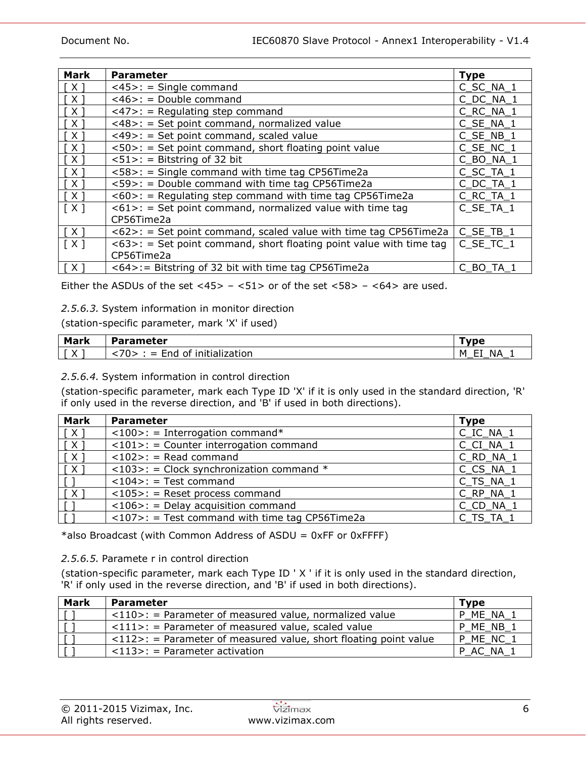| <b>Mark</b>                | <b>Parameter</b>                                                       | <b>Type</b> |
|----------------------------|------------------------------------------------------------------------|-------------|
| $\lceil$ X ]               | $<45>$ : = Single command                                              | C SC NA 1   |
| [X]                        | $<$ 46>: = Double command                                              | C DC NA 1   |
| $\lceil$ X $\rceil$        | $\langle 47 \rangle$ : = Regulating step command                       | C RC NA 1   |
| [ X ]                      | <48>: = Set point command, normalized value                            | C SE_NA_1   |
|                            | <49>: = Set point command, scaled value                                | C SE NB 1   |
| $\lceil$ $\times$ $\rceil$ | <50>: = Set point command, short floating point value                  | C SE NC 1   |
| $\lceil$ X $\rceil$        | $<51>$ : = Bitstring of 32 bit                                         | C BO NA 1   |
| [X]                        | <58>: = Single command with time tag CP56Time2a                        | C SC TA 1   |
| [X]                        | <59>: = Double command with time tag CP56Time2a                        | C DC TA 1   |
| $\lceil$ X ]               | $<60>$ : = Regulating step command with time tag CP56Time2a            | C RC TA 1   |
| [X]                        | $<61>$ : = Set point command, normalized value with time tag           | C_SE_TA_1   |
|                            | CP56Time2a                                                             |             |
| [X]                        | $<62>$ : = Set point command, scaled value with time tag CP56Time2a    | C SE TB 1   |
| [X]                        | $<63>$ : = Set point command, short floating point value with time tag | C SE TC 1   |
|                            | CP56Time2a                                                             |             |
| $\lceil X \rceil$          | <64>:= Bitstring of 32 bit with time tag CP56Time2a                    | C BO TA 1   |

Either the ASDUs of the set  $\langle 45 \rangle$  –  $\langle 51 \rangle$  or of the set  $\langle 58 \rangle$  –  $\langle 64 \rangle$  are used.

## *2.5.6.3.* System information in monitor direction

(station-specific parameter, mark 'X' if used)

| <b>Mark</b> | <b>Parameter</b>                                    | 「vne                                                                             |
|-------------|-----------------------------------------------------|----------------------------------------------------------------------------------|
| ∧           | $\neg$<br>.<br>.<br>.<br>initialization<br>ot<br>ாட | --<br>ΝA<br>м<br>--<br>$\overline{\phantom{a}}$<br>_<br>$\overline{\phantom{a}}$ |

### *2.5.6.4.* System information in control direction

(station-specific parameter, mark each Type ID 'X' if it is only used in the standard direction, 'R' if only used in the reverse direction, and 'B' if used in both directions).

| <b>Mark</b>  | <b>Parameter</b>                                          | <b>Type</b> |
|--------------|-----------------------------------------------------------|-------------|
| [X]          | $\langle 100 \rangle$ : = Interrogation command*          | C_IC_NA_1   |
| [ X ]        | $\langle 101 \rangle$ : = Counter interrogation command   | C CI NA 1   |
| $\lceil$ X ] | $<$ 102>: = Read command                                  | C_RD_NA_1   |
| $\lceil$ X ] | $\langle 103 \rangle$ : = Clock synchronization command * | C CS NA 1   |
|              | $<$ 104>: = Test command                                  | $C_TS_NA_1$ |
| [X           | $<$ 105>: = Reset process command                         | $C_RP_NA_1$ |
|              | $<$ 106>: = Delay acquisition command                     | C_CD_NA_1   |
|              | $<$ 107>: = Test command with time tag CP56Time2a         | C_TS_TA_1   |

\*also Broadcast (with Common Address of ASDU =  $0xFF$  or  $0xFF$ FFF)

### *2.5.6.5.* Paramete r in control direction

(station-specific parameter, mark each Type ID ' X ' if it is only used in the standard direction, 'R' if only used in the reverse direction, and 'B' if used in both directions).

| <b>Mark</b> | <b>Parameter</b>                                                                  | <b>Type</b> |
|-------------|-----------------------------------------------------------------------------------|-------------|
|             | $\langle 110 \rangle$ : = Parameter of measured value, normalized value           | P ME NA 1   |
|             | $\langle 111 \rangle$ : = Parameter of measured value, scaled value               | P ME NB 1   |
|             | $\langle 112 \rangle$ : = Parameter of measured value, short floating point value | P ME NC 1   |
|             | $\langle 113 \rangle$ : = Parameter activation                                    | P AC NA 1   |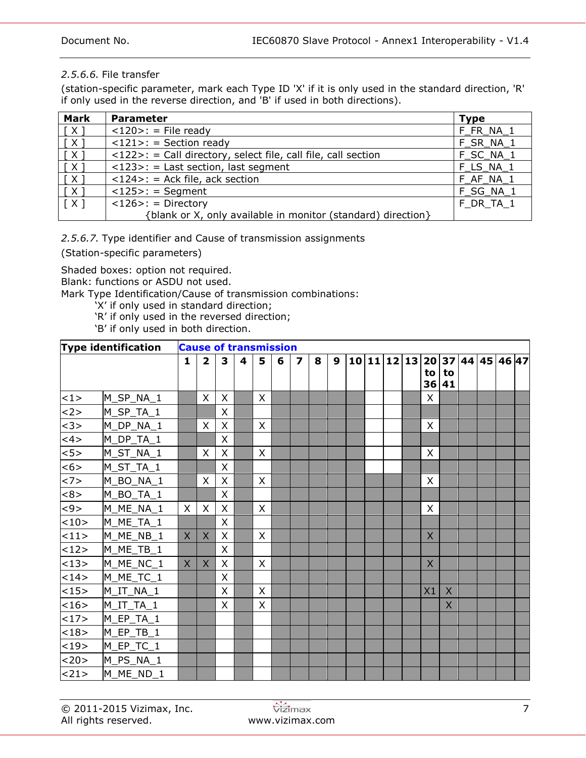## *2.5.6.6.* File transfer

(station-specific parameter, mark each Type ID 'X' if it is only used in the standard direction, 'R' if only used in the reverse direction, and 'B' if used in both directions).

| <b>Mark</b>         | <b>Parameter</b>                                              | <b>Type</b> |
|---------------------|---------------------------------------------------------------|-------------|
| $\lceil$ X ]        | $<120>$ : = File ready                                        | F FR NA 1   |
| $\lceil$ X $\rceil$ | $\langle 121 \rangle$ : = Section ready                       | F SR NA 1   |
| $\lceil$ X $\rceil$ | <122>: = Call directory, select file, call file, call section | F SC NA 1   |
| $\lceil$ X 1        | $\langle 123 \rangle$ : = Last section, last segment          | F LS NA 1   |
| $\lceil$ X 1        | $<$ 124>: = Ack file, ack section                             | F AF NA 1   |
| $\lceil$ X ]        | $<$ 125>: = Segment                                           | F SG NA 1   |
| $\lceil$ X $\rceil$ | $<$ 126>: = Directory                                         | F DR TA 1   |
|                     | {blank or X, only available in monitor (standard) direction}  |             |

*2.5.6.7.* Type identifier and Cause of transmission assignments

(Station-specific parameters)

Shaded boxes: option not required.

Blank: functions or ASDU not used.

Mark Type Identification/Cause of transmission combinations:

- 'X' if only used in standard direction;
- 'R' if only used in the reversed direction;

'B' if only used in both direction.

|      | <b>Type identification</b> | <b>Cause of transmission</b> |                         |              |   |              |   |   |   |   |  |  |                |             |  |                               |  |
|------|----------------------------|------------------------------|-------------------------|--------------|---|--------------|---|---|---|---|--|--|----------------|-------------|--|-------------------------------|--|
|      |                            | $\mathbf{1}$                 | $\overline{\mathbf{2}}$ | 3            | 4 | 5            | 6 | 7 | 8 | 9 |  |  | to             | to<br>36 41 |  | 10 11 12 13 20 37 44 45 46 47 |  |
| <1>  | M_SP_NA_1                  |                              | X                       | $\sf X$      |   | X            |   |   |   |   |  |  | $\times$       |             |  |                               |  |
| <2>  | M_SP_TA_1                  |                              |                         | X            |   |              |   |   |   |   |  |  |                |             |  |                               |  |
| <3>  | M_DP_NA_1                  |                              | $\mathsf{X}$            | X            |   | $\sf X$      |   |   |   |   |  |  | $\sf X$        |             |  |                               |  |
| <4>  | M_DP_TA_1                  |                              |                         | X            |   |              |   |   |   |   |  |  |                |             |  |                               |  |
| $5$  | M_ST_NA_1                  |                              | X                       | $\mathsf{X}$ |   | X            |   |   |   |   |  |  | $\mathsf{X}$   |             |  |                               |  |
| <6>  | M_ST_TA_1                  |                              |                         | $\times$     |   |              |   |   |   |   |  |  |                |             |  |                               |  |
| <7>  | M_BO_NA_1                  |                              | X                       | $\mathsf{X}$ |   | $\sf X$      |   |   |   |   |  |  | $\mathsf{X}$   |             |  |                               |  |
| <8>  | M_BO_TA_1                  |                              |                         | $\times$     |   |              |   |   |   |   |  |  |                |             |  |                               |  |
| <9>  | M_ME_NA_1                  | X                            | $\times$                | $\mathsf{X}$ |   | $\mathsf{X}$ |   |   |   |   |  |  | $\mathsf{X}$   |             |  |                               |  |
| <10> | M_ME_TA_1                  |                              |                         | X            |   |              |   |   |   |   |  |  |                |             |  |                               |  |
| <11> | M_ME_NB_1                  | X                            | $\times$                | X            |   | X            |   |   |   |   |  |  | $\overline{X}$ |             |  |                               |  |
| 12>  | M_ME_TB_1                  |                              |                         | X            |   |              |   |   |   |   |  |  |                |             |  |                               |  |
| <13> | M_ME_NC_1                  | X                            | $\mathsf{X}$            | X            |   | X            |   |   |   |   |  |  | $\mathsf{X}$   |             |  |                               |  |
| 14>  | M_ME_TC_1                  |                              |                         | X            |   |              |   |   |   |   |  |  |                |             |  |                               |  |
| <15> | $M_I$ T_NA_1               |                              |                         | X            |   | $\sf X$      |   |   |   |   |  |  | X1             | $\chi$      |  |                               |  |
| <16> | $M_I$ T_TA_1               |                              |                         | X            |   | X            |   |   |   |   |  |  |                | $\times$    |  |                               |  |
| <17> | M_EP_TA_1                  |                              |                         |              |   |              |   |   |   |   |  |  |                |             |  |                               |  |
| <18> | $M$ <sup>EP_TB_1</sup>     |                              |                         |              |   |              |   |   |   |   |  |  |                |             |  |                               |  |
| <19> | M_EP_TC_1                  |                              |                         |              |   |              |   |   |   |   |  |  |                |             |  |                               |  |
| <20> | M_PS_NA_1                  |                              |                         |              |   |              |   |   |   |   |  |  |                |             |  |                               |  |
| 21   | M ME ND 1                  |                              |                         |              |   |              |   |   |   |   |  |  |                |             |  |                               |  |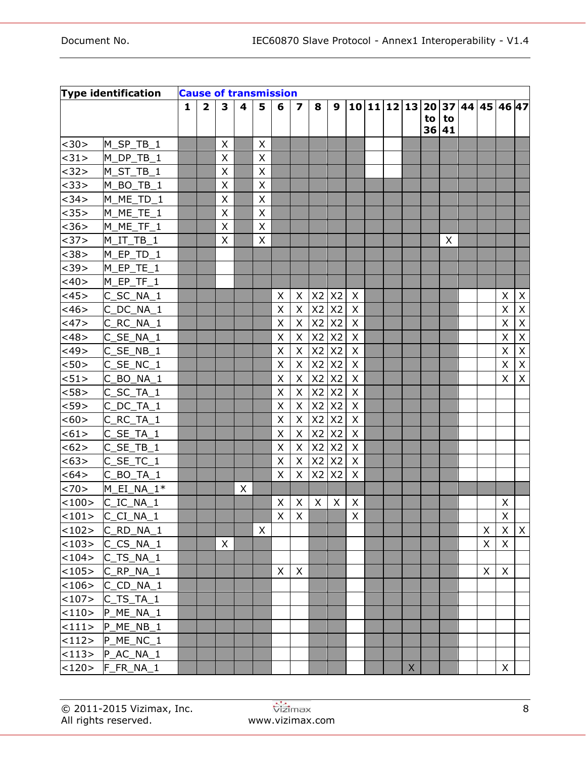|         | <b>Type identification</b> | <b>Cause of transmission</b> |                         |              |   |                |   |                  |              |                |              |  |              |    |             |                               |          |                |
|---------|----------------------------|------------------------------|-------------------------|--------------|---|----------------|---|------------------|--------------|----------------|--------------|--|--------------|----|-------------|-------------------------------|----------|----------------|
|         |                            | 1                            | $\overline{\mathbf{2}}$ | $\mathbf{3}$ | 4 | 5              | 6 | $\boldsymbol{7}$ | 8            | 9              |              |  |              |    |             | 10 11 12 13 20 37 44 45 46 47 |          |                |
|         |                            |                              |                         |              |   |                |   |                  |              |                |              |  |              | to | to<br>36 41 |                               |          |                |
| <30>    | M SP TB 1                  |                              |                         | X            |   | X              |   |                  |              |                |              |  |              |    |             |                               |          |                |
| <31>    | M_DP_TB_1                  |                              |                         | X            |   | X              |   |                  |              |                |              |  |              |    |             |                               |          |                |
| <32>    | M_ST_TB_1                  |                              |                         | X            |   | X              |   |                  |              |                |              |  |              |    |             |                               |          |                |
| <33>    | M_BO_TB_1                  |                              |                         | X            |   | $\pmb{\times}$ |   |                  |              |                |              |  |              |    |             |                               |          |                |
| <34>    | M ME_TD_1                  |                              |                         | X            |   | X              |   |                  |              |                |              |  |              |    |             |                               |          |                |
| <35>    | M_ME_TE_1                  |                              |                         | X            |   | X              |   |                  |              |                |              |  |              |    |             |                               |          |                |
| <36>    | M_ME_TF_1                  |                              |                         | X            |   | X              |   |                  |              |                |              |  |              |    |             |                               |          |                |
| <37>    | $M_I$ T_TB_1               |                              |                         | X            |   | X              |   |                  |              |                |              |  |              |    | X           |                               |          |                |
| <38>    | M_EP_TD_1                  |                              |                         |              |   |                |   |                  |              |                |              |  |              |    |             |                               |          |                |
| $39>$   | M_EP_TE_1                  |                              |                         |              |   |                |   |                  |              |                |              |  |              |    |             |                               |          |                |
| $<$ 40> | $M$ EP TF $1$              |                              |                         |              |   |                |   |                  |              |                |              |  |              |    |             |                               |          |                |
| $<$ 45> | $C$ <sub>_SC_NA_1</sub>    |                              |                         |              |   |                | X | X                | X2           | X <sub>2</sub> | $\mathsf{X}$ |  |              |    |             |                               | X        | $\mathsf{X}$   |
| $<$ 46> | $C$ <sub>_DC_NA_1</sub>    |                              |                         |              |   |                | X | X                | X2           | X <sub>2</sub> | $\mathsf{X}$ |  |              |    |             |                               | X        | X              |
| <47>    | $C$ <sub>_RC_NA_1</sub>    |                              |                         |              |   |                | Χ | X                |              | $X2$ $X2$      | $\mathsf{X}$ |  |              |    |             |                               | X        | $\mathsf{X}$   |
| <48>    | $C$ <sub>_</sub> SE_NA_1   |                              |                         |              |   |                | Χ | X                |              | $X2$ $X2$      | $\mathsf{X}$ |  |              |    |             |                               | X        | $\pmb{\times}$ |
| $<$ 49> | C SE NB 1                  |                              |                         |              |   |                | X | X                | X2           | X <sub>2</sub> | $\mathsf{X}$ |  |              |    |             |                               | X        | X              |
| $50$    | $C$ <sub>_</sub> SE_NC_1   |                              |                         |              |   |                | X | X                | X2           | X <sub>2</sub> | $\mathsf{X}$ |  |              |    |             |                               | X        | $\mathsf X$    |
| 51>     | $C$ $BO$ $NA$ $1$          |                              |                         |              |   |                | X | X                | X2           | X <sub>2</sub> | $\mathsf{X}$ |  |              |    |             |                               | X        | X              |
| < 58>   | $C$ <sub>_</sub> SC_TA_1   |                              |                         |              |   |                | X | X                | X2           | X <sub>2</sub> | $\mathsf{X}$ |  |              |    |             |                               |          |                |
| $59>$   | $C$ <sub>_</sub> DC_TA_1   |                              |                         |              |   |                | Χ | X                | X2           | X <sub>2</sub> | $\mathsf{X}$ |  |              |    |             |                               |          |                |
| <60>    | $C$ <sub>_RC_TA_1</sub>    |                              |                         |              |   |                | X | X                | X2           | X <sub>2</sub> | $\mathsf{X}$ |  |              |    |             |                               |          |                |
| < 61>   | $C$ _SE_TA_1               |                              |                         |              |   |                | X | Χ                | X2           | X <sub>2</sub> | $\mathsf{X}$ |  |              |    |             |                               |          |                |
| <62>    | $C$ <sub>_</sub> SE_TB_1   |                              |                         |              |   |                | X | X                | X2           | X <sub>2</sub> | $\mathsf{X}$ |  |              |    |             |                               |          |                |
| <63>    | $C$ _SE_TC_1               |                              |                         |              |   |                | X | X                | X2           | <b>X2</b>      | $\mathsf{X}$ |  |              |    |             |                               |          |                |
| <64>    | $C$ $BO$ $TA$ $1$          |                              |                         |              |   |                | X | X                | X2           | X <sub>2</sub> | $\mathsf{X}$ |  |              |    |             |                               |          |                |
| <70>    | M EI NA $1*$               |                              |                         |              | X |                |   |                  |              |                |              |  |              |    |             |                               |          |                |
| <100>   | $C\_IC\_NA\_1$             |                              |                         |              |   |                | X | X                | $\mathsf{X}$ | $\times$       | $\mathsf{X}$ |  |              |    |             |                               | X        |                |
| <101>   | $C_C I_N A_1$              |                              |                         |              |   |                | X | X                |              |                | X            |  |              |    |             |                               | X        |                |
| <102>   | C RD NA 1                  |                              |                         |              |   | X              |   |                  |              |                |              |  |              |    |             | X                             | $\times$ | $\mathsf X$    |
|         | $<$ 103>  C CS NA 1        |                              |                         | X            |   |                |   |                  |              |                |              |  |              |    |             | X                             | $\sf X$  |                |
|         | $<$ 104> C TS NA 1         |                              |                         |              |   |                |   |                  |              |                |              |  |              |    |             |                               |          |                |
| <105>   | C RP NA 1                  |                              |                         |              |   |                | X | X                |              |                |              |  |              |    |             | X                             | X        |                |
| <106>   | C CD NA 1                  |                              |                         |              |   |                |   |                  |              |                |              |  |              |    |             |                               |          |                |
|         | $<$ 107> $ C_TS_TA_1$      |                              |                         |              |   |                |   |                  |              |                |              |  |              |    |             |                               |          |                |
|         | $<$ 110> P_ME_NA_1         |                              |                         |              |   |                |   |                  |              |                |              |  |              |    |             |                               |          |                |
|         | $<$ 111> $ P_ME_NB_1 $     |                              |                         |              |   |                |   |                  |              |                |              |  |              |    |             |                               |          |                |
|         | $<$ 112> $ P_ME_NC_1 $     |                              |                         |              |   |                |   |                  |              |                |              |  |              |    |             |                               |          |                |
|         | $<$ 113> $ P_{AC}N_A $     |                              |                         |              |   |                |   |                  |              |                |              |  |              |    |             |                               |          |                |
|         | $<$ 120> $ F_F R_N A_1$    |                              |                         |              |   |                |   |                  |              |                |              |  | $\mathsf{X}$ |    |             |                               | X        |                |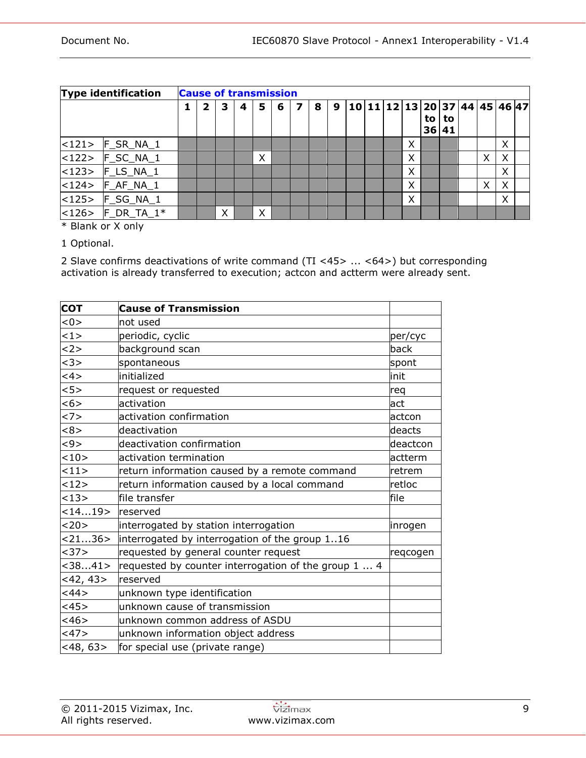|             | <b>Type identification</b> | <b>Cause of transmission</b> |   |   |   |   |   |   |   |   |  |  |                               |   |          |          |   |          |  |
|-------------|----------------------------|------------------------------|---|---|---|---|---|---|---|---|--|--|-------------------------------|---|----------|----------|---|----------|--|
|             |                            |                              | 2 | 3 | 4 | 5 | 6 | 7 | 8 | 9 |  |  | 10 11 12 13 20 37 44 45 46 47 |   | to<br>36 | to<br>41 |   |          |  |
| $ $ < 121 > | F_SR_NA_1                  |                              |   |   |   |   |   |   |   |   |  |  |                               | X |          |          |   | X        |  |
|             | $ $ <122> $ $ F_SC_NA_1    |                              |   |   |   | X |   |   |   |   |  |  |                               | X |          |          | X | $\times$ |  |
|             | $ $ <123> $ $ F_LS_NA_1    |                              |   |   |   |   |   |   |   |   |  |  |                               | X |          |          |   | X        |  |
|             | $ $ <124> $ $ F_AF_NA_1    |                              |   |   |   |   |   |   |   |   |  |  |                               | X |          |          | X | $\times$ |  |
| $ $ < 125 > | F_SG_NA_1                  |                              |   |   |   |   |   |   |   |   |  |  |                               | X |          |          |   | X        |  |
| < 126       | $F\_DR\_TA\_1*$            |                              |   | X |   | X |   |   |   |   |  |  |                               |   |          |          |   |          |  |

\* Blank or X only

1 Optional.

2 Slave confirms deactivations of write command (TI <45> ... <64>) but corresponding activation is already transferred to execution; actcon and actterm were already sent.

<span id="page-8-0"></span>

| <b>COT</b>   | <b>Cause of Transmission</b>                         |          |
|--------------|------------------------------------------------------|----------|
| < 0          | not used                                             |          |
| 1>           | periodic, cyclic                                     | per/cyc  |
| <2>          | background scan                                      | back     |
| <3>          | spontaneous                                          | spont    |
| 4 >          | initialized                                          | linit    |
| 5>           | request or requested                                 | req      |
| <6>          | activation                                           | act      |
| <7>          | activation confirmation                              | actcon   |
| <8>          | deactivation                                         | deacts   |
| < 9 >        | deactivation confirmation                            | deactcon |
| 10>          | activation termination                               | actterm  |
| 11>          | return information caused by a remote command        | retrem   |
| 12>          | return information caused by a local command         | retloc   |
| <13>         | file transfer                                        | file     |
| <1419>       | reserved                                             |          |
| <20>         | interrogated by station interrogation                | inrogen  |
| < 2136 >     | interrogated by interrogation of the group 116       |          |
| <37>         | requested by general counter request                 | regcogen |
| < 3841       | requested by counter interrogation of the group 1  4 |          |
| $<$ 42, 43>  | reserved                                             |          |
| <44>         | unknown type identification                          |          |
| <45>         | unknown cause of transmission                        |          |
| <46>         | unknown common address of ASDU                       |          |
| <47>         | unknown information object address                   |          |
| $<$ 48, 63 > | for special use (private range)                      |          |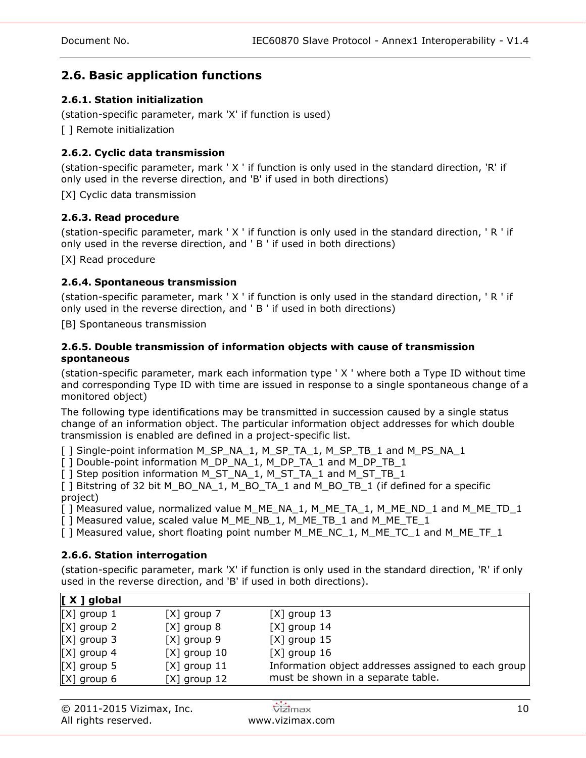## **2.6. Basic application functions**

## **2.6.1. Station initialization**

(station-specific parameter, mark 'X' if function is used)

[ ] Remote initialization

## **2.6.2. Cyclic data transmission**

(station-specific parameter, mark ' X ' if function is only used in the standard direction, 'R' if only used in the reverse direction, and 'B' if used in both directions)

[X] Cyclic data transmission

### **2.6.3. Read procedure**

(station-specific parameter, mark ' X ' if function is only used in the standard direction, ' R ' if only used in the reverse direction, and ' B ' if used in both directions)

[X] Read procedure

### **2.6.4. Spontaneous transmission**

(station-specific parameter, mark ' X ' if function is only used in the standard direction, ' R ' if only used in the reverse direction, and ' B ' if used in both directions)

[B] Spontaneous transmission

### **2.6.5. Double transmission of information objects with cause of transmission spontaneous**

(station-specific parameter, mark each information type ' X ' where both a Type ID without time and corresponding Type ID with time are issued in response to a single spontaneous change of a monitored object)

The following type identifications may be transmitted in succession caused by a single status change of an information object. The particular information object addresses for which double transmission is enabled are defined in a project-specific list.

[ ] Single-point information M\_SP\_NA\_1, M\_SP\_TA\_1, M\_SP\_TB\_1 and M\_PS\_NA\_1

[ ] Double-point information M\_DP\_NA\_1, M\_DP\_TA\_1 and M\_DP\_TB\_1

[ ] Step position information M\_ST\_NA\_1, M\_ST\_TA\_1 and M\_ST\_TB\_1

[ ] Bitstring of 32 bit M\_BO\_NA\_1, M\_BO\_TA\_1 and M\_BO\_TB\_1 (if defined for a specific project)

[ ] Measured value, normalized value M\_ME\_NA\_1, M\_ME\_TA\_1, M\_ME\_ND\_1 and M\_ME\_TD\_1

 $\overline{[}$  ] Measured value, scaled value M\_ME\_NB\_1, M\_ME\_TB\_1 and M\_ME\_TE\_1

[ ] Measured value, short floating point number M\_ME\_NC\_1, M\_ME\_TC\_1 and M\_ME\_TF\_1

### **2.6.6. Station interrogation**

(station-specific parameter, mark 'X' if function is only used in the standard direction, 'R' if only used in the reverse direction, and 'B' if used in both directions).

| $[X]$ group 7  | $[X]$ group 13                                      |
|----------------|-----------------------------------------------------|
| $[X]$ group 8  | $[X]$ group 14                                      |
| $[X]$ group 9  | $[X]$ group 15                                      |
| $[X]$ group 10 | $[X]$ group 16                                      |
| $[X]$ group 11 | Information object addresses assigned to each group |
| $[X]$ group 12 | must be shown in a separate table.                  |
|                |                                                     |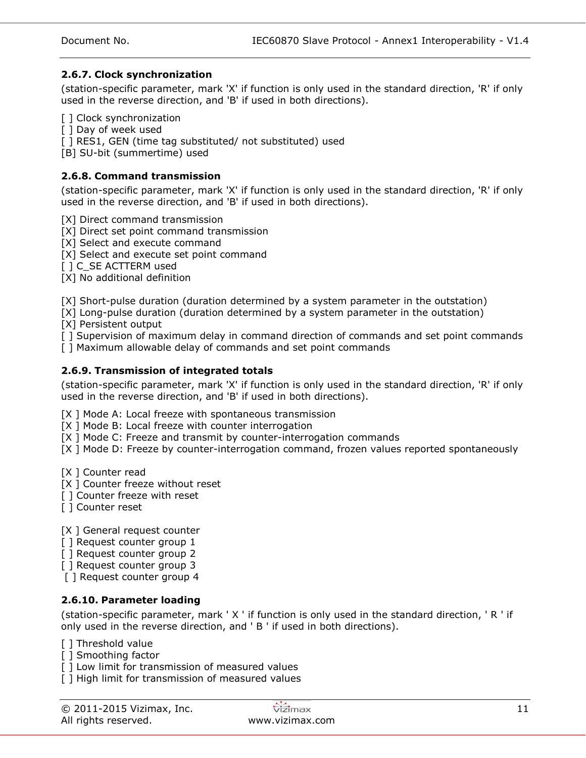### **2.6.7. Clock synchronization**

(station-specific parameter, mark 'X' if function is only used in the standard direction, 'R' if only used in the reverse direction, and 'B' if used in both directions).

[ ] Clock synchronization

[ ] Day of week used

[ ] RES1, GEN (time tag substituted/ not substituted) used

[B] SU-bit (summertime) used

### **2.6.8. Command transmission**

(station-specific parameter, mark 'X' if function is only used in the standard direction, 'R' if only used in the reverse direction, and 'B' if used in both directions).

[X] Direct command transmission

[X] Direct set point command transmission

[X] Select and execute command

[X] Select and execute set point command

[ ] C\_SE ACTTERM used

[X] No additional definition

[X] Short-pulse duration (duration determined by a system parameter in the outstation)

[X] Long-pulse duration (duration determined by a system parameter in the outstation)

[X] Persistent output

[ ] Supervision of maximum delay in command direction of commands and set point commands

[ ] Maximum allowable delay of commands and set point commands

## **2.6.9. Transmission of integrated totals**

(station-specific parameter, mark 'X' if function is only used in the standard direction, 'R' if only used in the reverse direction, and 'B' if used in both directions).

[X ] Mode A: Local freeze with spontaneous transmission

[X ] Mode B: Local freeze with counter interrogation

[X ] Mode C: Freeze and transmit by counter-interrogation commands

[X ] Mode D: Freeze by counter-interrogation command, frozen values reported spontaneously

[X ] Counter read

[X ] Counter freeze without reset

[] Counter freeze with reset

[ ] Counter reset

[X ] General request counter

- [] Request counter group 1
- [ ] Request counter group 2

[ ] Request counter group 3

[ ] Request counter group 4

## **2.6.10. Parameter loading**

(station-specific parameter, mark ' X ' if function is only used in the standard direction, ' R ' if only used in the reverse direction, and ' B ' if used in both directions).

[ ] Threshold value

- [ ] Smoothing factor
- [] Low limit for transmission of measured values

[] High limit for transmission of measured values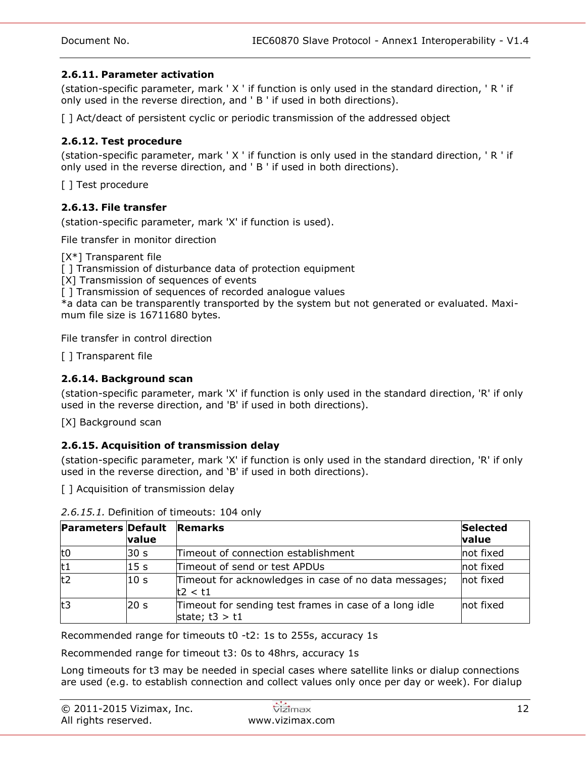## **2.6.11. Parameter activation**

(station-specific parameter, mark ' X ' if function is only used in the standard direction, ' R ' if only used in the reverse direction, and ' B ' if used in both directions).

[ ] Act/deact of persistent cyclic or periodic transmission of the addressed object

## **2.6.12. Test procedure**

(station-specific parameter, mark ' X ' if function is only used in the standard direction, ' R ' if only used in the reverse direction, and ' B ' if used in both directions).

[ ] Test procedure

## **2.6.13. File transfer**

(station-specific parameter, mark 'X' if function is used).

File transfer in monitor direction

[X<sup>\*</sup>] Transparent file

[ ] Transmission of disturbance data of protection equipment

[X] Transmission of sequences of events

[] Transmission of sequences of recorded analogue values

\*a data can be transparently transported by the system but not generated or evaluated. Maximum file size is 16711680 bytes.

File transfer in control direction

[ ] Transparent file

### **2.6.14. Background scan**

(station-specific parameter, mark 'X' if function is only used in the standard direction, 'R' if only used in the reverse direction, and 'B' if used in both directions).

[X] Background scan

### **2.6.15. Acquisition of transmission delay**

(station-specific parameter, mark 'X' if function is only used in the standard direction, 'R' if only used in the reverse direction, and 'B' if used in both directions).

[ ] Acquisition of transmission delay

|     | <b>Parameters Default</b><br><b>Remarks</b><br>value |                                                                            |           |  |  |  |
|-----|------------------------------------------------------|----------------------------------------------------------------------------|-----------|--|--|--|
| lt0 | 30 s                                                 | Timeout of connection establishment                                        | not fixed |  |  |  |
| t1  | 15 <sub>s</sub>                                      | Timeout of send or test APDUs                                              | not fixed |  |  |  |
| t2  | 10 <sub>s</sub>                                      | Timeout for acknowledges in case of no data messages;<br>t2 < t1           | not fixed |  |  |  |
| lt3 | 20 <sub>s</sub>                                      | Timeout for sending test frames in case of a long idle<br>state; $t3 > t1$ | not fixed |  |  |  |

*2.6.15.1.* Definition of timeouts: 104 only

Recommended range for timeouts t0 -t2: 1s to 255s, accuracy 1s

Recommended range for timeout t3: 0s to 48hrs, accuracy 1s

Long timeouts for t3 may be needed in special cases where satellite links or dialup connections are used (e.g. to establish connection and collect values only once per day or week). For dialup

| © 2011-2015 Vizimax, Inc. | vizimax         |  |
|---------------------------|-----------------|--|
| All rights reserved.      | www.vizimax.com |  |